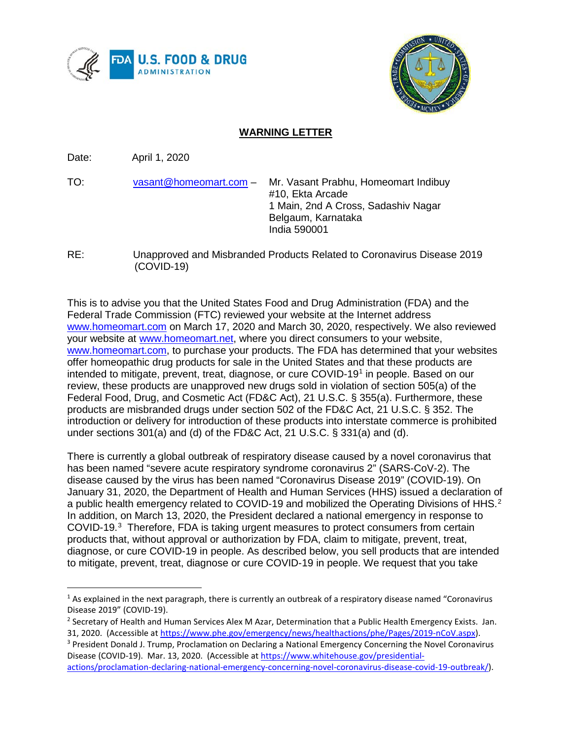



## **WARNING LETTER**

Date: April 1, 2020

- TO: [vasant@homeomart.com](mailto:vasant@homeomart.com) Mr. Vasant Prabhu, Homeomart Indibuy #10, Ekta Arcade 1 Main, 2nd A Cross, Sadashiv Nagar Belgaum, Karnataka India 590001
- RE: Unapproved and Misbranded Products Related to Coronavirus Disease 2019 (COVID-19)

This is to advise you that the United States Food and Drug Administration (FDA) and the Federal Trade Commission (FTC) reviewed your website at the Internet address [www.homeomart.com](http://www.homeomart.com/) on March 17, 2020 and March 30, 2020, respectively. We also reviewed your website at [www.homeomart.net,](http://www.homeomart.net/) where you direct consumers to your website, [www.homeomart.com,](http://www.homeomart.com/) to purchase your products. The FDA has determined that your websites offer homeopathic drug products for sale in the United States and that these products are intended to mitigate, prevent, treat, diagnose, or cure COVID-19<sup>1</sup> in people. Based on our review, these products are unapproved new drugs sold in violation of section 505(a) of the Federal Food, Drug, and Cosmetic Act (FD&C Act), 21 U.S.C. § 355(a). Furthermore, these products are misbranded drugs under section 502 of the FD&C Act, 21 U.S.C. § 352. The introduction or delivery for introduction of these products into interstate commerce is prohibited under sections 301(a) and (d) of the FD&C Act, 21 U.S.C. § 331(a) and (d).

There is currently a global outbreak of respiratory disease caused by a novel coronavirus that has been named "severe acute respiratory syndrome coronavirus 2" (SARS-CoV-2). The disease caused by the virus has been named "Coronavirus Disease 2019" (COVID-19). On January 31, 2020, the Department of Health and Human Services (HHS) issued a declaration of a public health emergency related to COVID-19 and mobilized the Operating Divisions of HHS.<sup>[2](#page-0-1)</sup> In addition, on March 13, 2020, the President declared a national emergency in response to COVID-19.<sup>[3](#page-0-2)</sup> Therefore, FDA is taking urgent measures to protect consumers from certain products that, without approval or authorization by FDA, claim to mitigate, prevent, treat, diagnose, or cure COVID-19 in people. As described below, you sell products that are intended to mitigate, prevent, treat, diagnose or cure COVID-19 in people. We request that you take

<span id="page-0-0"></span> $1$  As explained in the next paragraph, there is currently an outbreak of a respiratory disease named "Coronavirus Disease 2019" (COVID-19).

<span id="page-0-1"></span><sup>&</sup>lt;sup>2</sup> Secretary of Health and Human Services Alex M Azar, Determination that a Public Health Emergency Exists. Jan. 31, 2020. (Accessible at [https://www.phe.gov/emergency/news/healthactions/phe/Pages/2019-nCoV.aspx\)](https://www.phe.gov/emergency/news/healthactions/phe/Pages/2019-nCoV.aspx).

<span id="page-0-2"></span><sup>&</sup>lt;sup>3</sup> President Donald J. Trump, Proclamation on Declaring a National Emergency Concerning the Novel Coronavirus Disease (COVID-19). Mar. 13, 2020. (Accessible at [https://www.whitehouse.gov/presidential](https://www.whitehouse.gov/presidential-actions/proclamation-declaring-national-emergency-concerning-novel-coronavirus-disease-covid-19-outbreak/)[actions/proclamation-declaring-national-emergency-concerning-novel-coronavirus-disease-covid-19-outbreak/\)](https://www.whitehouse.gov/presidential-actions/proclamation-declaring-national-emergency-concerning-novel-coronavirus-disease-covid-19-outbreak/).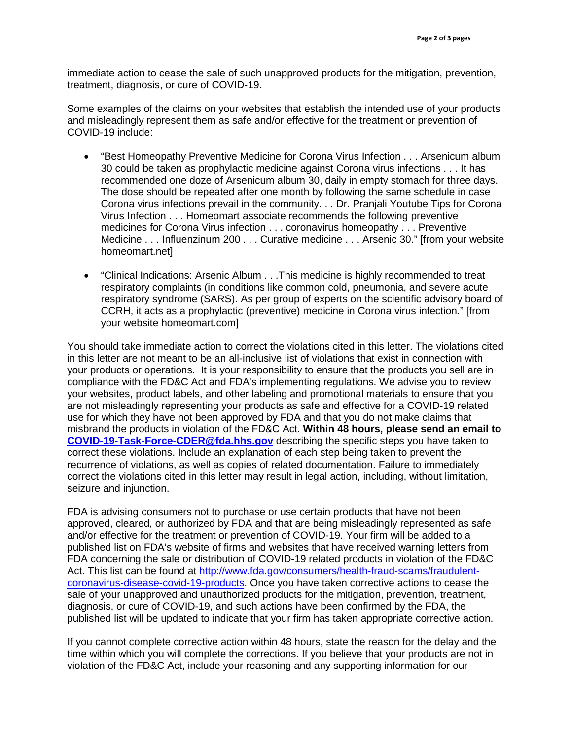immediate action to cease the sale of such unapproved products for the mitigation, prevention, treatment, diagnosis, or cure of COVID-19.

Some examples of the claims on your websites that establish the intended use of your products and misleadingly represent them as safe and/or effective for the treatment or prevention of COVID-19 include:

- "Best Homeopathy Preventive Medicine for Corona Virus Infection . . . Arsenicum album 30 could be taken as prophylactic medicine against Corona virus infections . . . It has recommended one doze of Arsenicum album 30, daily in empty stomach for three days. The dose should be repeated after one month by following the same schedule in case Corona virus infections prevail in the community. . . Dr. Pranjali Youtube Tips for Corona Virus Infection . . . Homeomart associate recommends the following preventive medicines for Corona Virus infection . . . coronavirus homeopathy . . . Preventive Medicine . . . Influenzinum 200 . . . Curative medicine . . . Arsenic 30." [from your website homeomart.net]
- "Clinical Indications: Arsenic Album . . .This medicine is highly recommended to treat respiratory complaints (in conditions like common cold, pneumonia, and severe acute respiratory syndrome (SARS). As per group of experts on the scientific advisory board of CCRH, it acts as a prophylactic (preventive) medicine in Corona virus infection." [from your website homeomart.com]

You should take immediate action to correct the violations cited in this letter. The violations cited in this letter are not meant to be an all-inclusive list of violations that exist in connection with your products or operations. It is your responsibility to ensure that the products you sell are in compliance with the FD&C Act and FDA's implementing regulations. We advise you to review your websites, product labels, and other labeling and promotional materials to ensure that you are not misleadingly representing your products as safe and effective for a COVID-19 related use for which they have not been approved by FDA and that you do not make claims that misbrand the products in violation of the FD&C Act. **Within 48 hours, please send an email to [COVID-19-Task-Force-CDER@fda.hhs.gov](mailto:COVID-19-Task-Force-CDER@fda.hhs.gov)** describing the specific steps you have taken to correct these violations. Include an explanation of each step being taken to prevent the recurrence of violations, as well as copies of related documentation. Failure to immediately correct the violations cited in this letter may result in legal action, including, without limitation, seizure and injunction.

FDA is advising consumers not to purchase or use certain products that have not been approved, cleared, or authorized by FDA and that are being misleadingly represented as safe and/or effective for the treatment or prevention of COVID-19. Your firm will be added to a published list on FDA's website of firms and websites that have received warning letters from FDA concerning the sale or distribution of COVID-19 related products in violation of the FD&C Act. This list can be found at [http://www.fda.gov/consumers/health-fraud-scams/fraudulent](http://www.fda.gov/consumers/health-fraud-scams/fraudulent-coronavirus-disease-covid-19-products)[coronavirus-disease-covid-19-products.](http://www.fda.gov/consumers/health-fraud-scams/fraudulent-coronavirus-disease-covid-19-products) Once you have taken corrective actions to cease the sale of your unapproved and unauthorized products for the mitigation, prevention, treatment, diagnosis, or cure of COVID-19, and such actions have been confirmed by the FDA, the published list will be updated to indicate that your firm has taken appropriate corrective action.

If you cannot complete corrective action within 48 hours, state the reason for the delay and the time within which you will complete the corrections. If you believe that your products are not in violation of the FD&C Act, include your reasoning and any supporting information for our